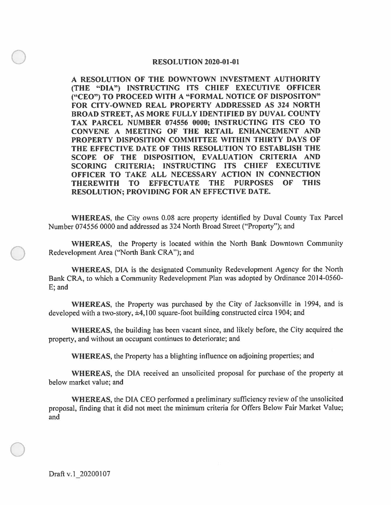## **RESOLUTION 2020-01-01**

**A RESOLUTION OF THE DOWNTOWN INVESTMENT AUTHORITY (THE "DIA") INSTRUCTING ITS CHIEF EXECUTIVE OFFICER ("CEO") TO PROCEED WITH A "FORMAL NOTICE OF DISPOSITON" FOR CITY-OWNED REAL PROPERTY ADDRESSED AS 324 NORTH BROAD STREET, AS MORE FULLY IDENTIFIED BY DUVAL COUNTY TAX PARCEL NUMBER 074556 0000; INSTRUCTING ITS CEO TO CONVENE A MEETING OF THE RETAIL ENHANCEMENT AND PROPERTY DISPOSITION COMMITTEE WITHIN THIRTY DAYS OF THE EFFECTIVE DATE OF THIS RESOLUTION TO ESTABLISH THE SCOPE OF THE DISPOSITION, EVALUATION CRITERIA AND SCORING CRITERIA; INSTRUCTING ITS CHIEF EXECUTIVE OFFICER TO TAKE ALL NECESSARY ACTION IN CONNECTION THEREWITH TO EFFECTUATE THE PURPOSES OF THIS RESOLUTION; PROVIDING FOR AN EFFECTIVE DATE.** 

**WHEREAS,** the City owns 0.08 acre property identified by Duval County Tax Parcel Number 074556 0000 and addressed as 324 North Broad Street ("Property"); and

**WHEREAS,** the Property is located within the North Bank Downtown Community Redevelopment Area ("North Bank CRA"); and

**WHEREAS,** DIA is the designated Community Redevelopment Agency for the North Bank CRA, to which a Community Redevelopment Plan was adopted by Ordinance 2014-0560- E; and

**WHEREAS,** the Property was purchased by the City of Jacksonville in 1994, and is developed with a two-story, ±4, 100 square-foot building constructed circa 1904; and

**WHEREAS,** the building has been vacant since, and likely before, the City acquired the property, and without an occupant continues to deteriorate; and

**WHEREAS,** the Property has a blighting influence on adjoining properties; and

**WHEREAS,** the DIA received an unsolicited proposal for purchase of the property at below market value; and

**WHEREAS,** the DIA CEO performed a preliminary sufficiency review of the unsolicited proposal, finding that it did not meet the minimum criteria for Offers Below Fair Market Value; and

Draft v.1 20200107

 $\bigcirc$ 

 $\bigcirc$ 

 $\bigcirc$